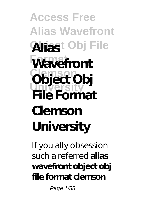**Access Free Alias Wavefront Object Obj File Alias Wavefront Clemson Object Obj University File Format Clemson University**

If you ally obsession such a referred **alias wavefront object obj file format clemson**

Page 1/38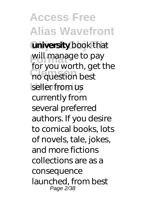**Access Free Alias Wavefront university** book that will manage to pay **Clean** Sea World, go seller from us for you worth, get the currently from several preferred authors. If you desire to comical books, lots of novels, tale, jokes, and more fictions collections are as a consequence launched, from best Page 2/38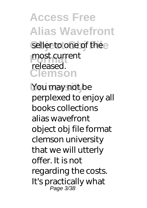**Access Free Alias Wavefront** seller to one of the e most current **Clemson** released.

You may not be perplexed to enjoy all books collections alias wavefront object obj file format clemson university that we will utterly offer. It is not regarding the costs. It's practically what Page 3/38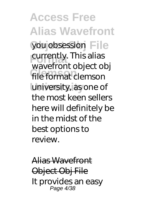**Access Free Alias Wavefront** you obsession File currently. This alias file format clemson **University** university, as one of wavefront object obj the most keen sellers here will definitely be in the midst of the best options to review.

Alias Wavefront Object Obj File It provides an easy Page 4/38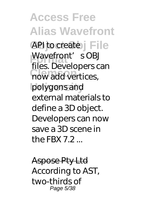**Access Free Alias Wavefront** API to create j File Wavefront's OBJ **Clemson** now add vertices, **University** polygons and files. Developers can external materials to define a 3D object. Developers can now save a 3D scene in the FRX 7.2  $\,$ 

Aspose Pty Ltd According to AST, two-thirds of Page 5/38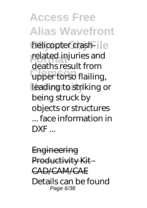**Access Free Alias Wavefront** helicopter crashrelated injuries and **Clemson** upper torso flailing, leading to striking or deaths result from being struck by objects or structures ... face information in DXF ...

**Engineering** Productivity Kit-CAD/CAM/CAE Details can be found Page 6/38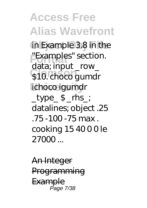**Access Free Alias Wavefront** in Example 3.8 in the **Format** "Examples" section. \$10. choco gumdr lichoco igumdr data; input\_row  $_t$  type\_ $\frac{1}{2}$   $_{\text{rms}}$ datalines; object .25  $.75 - 100 - 75$  max . cooking 15 40 0 0 le  $27000$ 

An Integer **Programming Example** Page 7/38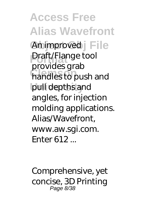**Access Free Alias Wavefront** An improved **File Praft/Flange tool Clemson** handles to push and **University** pull depths and provides grab angles, for injection molding applications. Alias/Wavefront, www.aw.sgi.com. Enter 612 ...

Comprehensive, yet concise, 3D Printing Page 8/38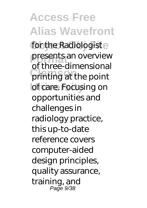**Access Free Alias Wavefront** for the Radiologiste presents an overview<br>
of three dimensional **Clemson** printing at the point of care. Focusing on of three-dimensional opportunities and challenges in radiology practice, this up-to-date reference covers computer-aided design principles, quality assurance, training, and Page 9/38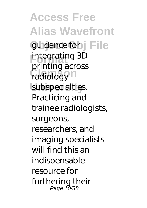**Access Free Alias Wavefront** guidance for j File **Format** integrating 3D radiology<sup>n</sup> subspecialties. printing across Practicing and trainee radiologists, surgeons, researchers, and imaging specialists will find this an indispensable resource for furthering their Page 10/38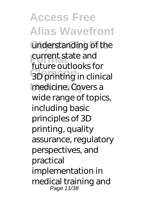**Access Free Alias Wavefront** understanding of the **Future** authorized **COLLEGE** SUPPORT CONTROLLED SUPPORT CONTROLLED SUPPORT CONTROLLED SUPPORT CONTROLLED SUPPORT CONTROLLED SUPPORT CONTROLLED SUPPORT CONTROLLED SUPPORT CONTROLLED SUPPORT CONTROLLED SUPPORT CONTROLLED SUPPORT CONTROLLED SUP medicine. Covers a future outlooks for wide range of topics, including basic principles of 3D printing, quality assurance, regulatory perspectives, and practical implementation in medical training and Page 11/38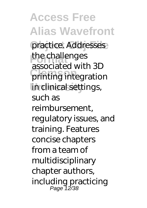**Access Free Alias Wavefront** practice. Addresses the challenges **Clemson** printing integration in clinical settings, associated with 3D such as reimbursement, regulatory issues, and training. Features concise chapters from a team of multidisciplinary chapter authors, including practicing Page 12/38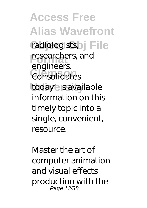**Access Free Alias Wavefront** radiologists, File researchers, and **Clemson** Consolidates today's savailable engineers. information on this timely topic into a single, convenient, resource.

Master the art of computer animation and visual effects production with the Page 13/38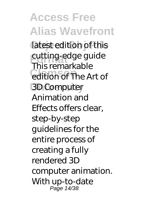**Access Free Alias Wavefront** latest edition of this cutting-edge guide **Collection of The Art of University** 3D Computer This remarkable Animation and Effects offers clear, step-by-step guidelines for the entire process of creating a fully rendered 3D computer animation. With up-to-date Page 14/38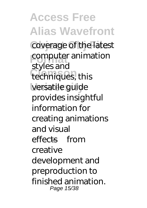**Access Free Alias Wavefront** coverage of the latest computer animation **Clemson** techniques, this **University** versatile guide styles and provides insightful information for creating animations and visual effects—from creative development and preproduction to finished animation. Page 15/38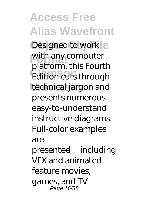**Access Free Alias Wavefront** Designed to work e with any computer **Clemson** Edition cuts through technical jargon and platform, this Fourth presents numerous easy-to-understand instructive diagrams. Full-color examples are presented—including VFX and animated feature movies, games, and TV Page 16/38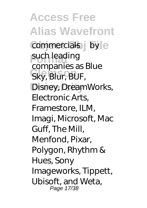**Access Free Alias Wavefront** commercials-by e such leading **Clemson** Sky, Blur, BUF, **Disney, DreamWorks,** companies as Blue Electronic Arts, Framestore, ILM, Imagi, Microsoft, Mac Guff, The Mill, Menfond, Pixar, Polygon, Rhythm & Hues, Sony Imageworks, Tippett, Ubisoft, and Weta, Page 17/38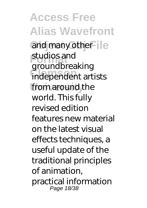**Access Free Alias Wavefront** and many other  $\parallel$ e studios and<br> *<u>groundhree</u>* **Clemson** independent artists from around the groundbreaking world. This fully revised edition features new material on the latest visual effects techniques, a useful update of the traditional principles of animation, practical information Page 18/38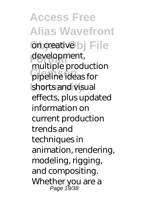**Access Free Alias Wavefront on creative bj** File development, **Clemson** pipeline ideas for shorts and visual multiple production effects, plus updated information on current production trends and techniques in animation, rendering, modeling, rigging, and compositing. Whether you are a Page 19/38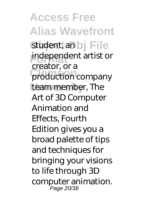**Access Free Alias Wavefront** student, an bj File independent artist or production company team member, The creator, or a Art of 3D Computer Animation and Effects, Fourth Edition gives you a broad palette of tips and techniques for bringing your visions to life through 3D computer animation. Page 20/38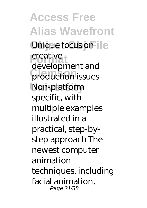**Access Free Alias Wavefront Unique focus on ille** creative production issues **University** Non-platform development and specific, with multiple examples illustrated in a practical, step-bystep approach The newest computer animation techniques, including facial animation, Page 21/38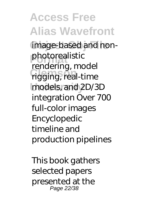**Access Free Alias Wavefront** image-based and nonphotorealistic<br> **Fondating Clemson** rigging, real-time **University** models, and 2D/3D rendering, model integration Over 700 full-color images Encyclopedic timeline and production pipelines

This book gathers selected papers presented at the Page 22/38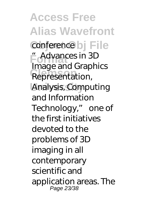**Access Free Alias Wavefront** conference bj File **Format** "Advances in 3D **Representation**, **University** Analysis, Computing Image and Graphics and Information Technology," one of the first initiatives devoted to the problems of 3D imaging in all contemporary scientific and application areas. The Page 23/38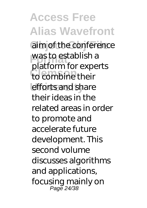**Access Free Alias Wavefront** aim of the conference was to establish a to combine their efforts and share platform for experts their ideas in the related areas in order to promote and accelerate future development. This second volume discusses algorithms and applications, focusing mainly on Page 24/38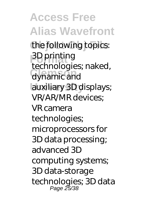**Access Free Alias Wavefront** the following topics: **Format** 3D printing **Clemson** dynamic and **University** auxiliary 3D displays; technologies; naked, VR/AR/MR devices; VR camera technologies; microprocessors for 3D data processing; advanced 3D computing systems; 3D data-storage technologies; 3D data Page 25/38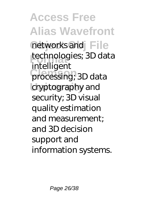**Access Free Alias Wavefront** networks and File technologies; 3D data **Clemson** processing; 3D data cryptography and intelligent security; 3D visual quality estimation and measurement; and 3D decision support and information systems.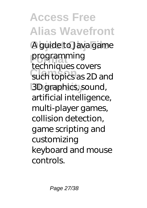**Access Free Alias Wavefront** A guide to Java game programming such topics as 2D and **University** 3D graphics, sound, techniques covers artificial intelligence, multi-player games, collision detection, game scripting and customizing keyboard and mouse controls.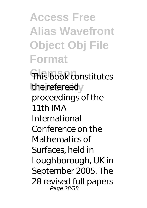**Access Free Alias Wavefront Object Obj File Format**

**This book constitutes** the refereedy proceedings of the 11th IMA International Conference on the Mathematics of Surfaces, held in Loughborough, UK in September 2005. The 28 revised full papers Page 28/38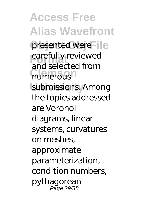**Access Free Alias Wavefront** presented were le carefully reviewed numerous submissions. Among and selected from the topics addressed are Voronoi diagrams, linear systems, curvatures on meshes, approximate parameterization, condition numbers, pythagorean Page 29/38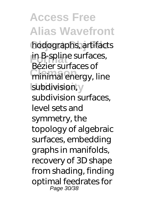**Access Free Alias Wavefront** hodographs, artifacts in B-spline surfaces, **minimal energy, line** subdivision, y Bézier surfaces of subdivision surfaces, level sets and symmetry, the topology of algebraic surfaces, embedding graphs in manifolds, recovery of 3D shape from shading, finding optimal feedrates for Page 30/38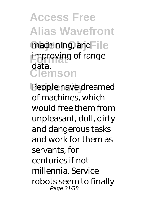**Access Free Alias Wavefront** machining, and File improving of range **Clemson** data.

People have dreamed of machines, which would free them from unpleasant, dull, dirty and dangerous tasks and work for them as servants, for centuries if not millennia. Service robots seem to finally Page 31/38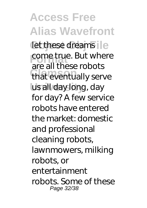**Access Free Alias Wavefront** let these dreams come true. But where that eventually serve us all day long, day are all these robots for day? A few service robots have entered the market: domestic and professional cleaning robots, lawnmowers, milking robots, or entertainment robots. Some of these Page 32/38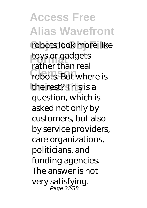**Access Free Alias Wavefront** robots look more like **toys or gadgets** robots. But where is **University** the rest? This is a rather than real question, which is asked not only by customers, but also by service providers, care organizations, politicians, and funding agencies. The answer is not very satisfying. Page 33/38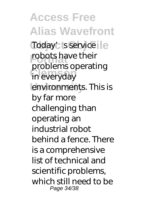**Access Free Alias Wavefront** Today's service robots have their **Clemson** in everyday environments. This is problems operating by far more challenging than operating an industrial robot behind a fence. There is a comprehensive list of technical and scientific problems, which still need to be Page 34/38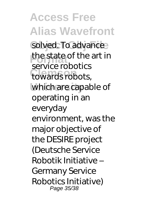**Access Free Alias Wavefront** solved. To advance the state of the art in towards robots, which are capable of service robotics operating in an everyday environment, was the major objective of the DESIRE project (Deutsche Service Robotik Initiative – Germany Service Robotics Initiative) Page 35/38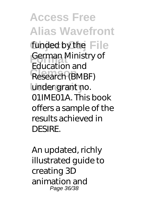**Access Free Alias Wavefront** funded by the File **Format** German Ministry of **Research (BMBF)** under grant no. Education and 01IME01A. This book offers a sample of the results achieved in DESIRE.

An updated, richly illustrated guide to creating 3D animation and Page 36/38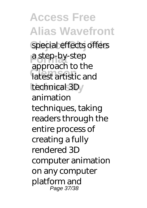**Access Free Alias Wavefront** special effects offers **Format** a step-by-step **Clemson** latest artistic and technical 3D<sub>y</sub> approach to the animation techniques, taking readers through the entire process of creating a fully rendered 3D computer animation on any computer platform and Page 37/38